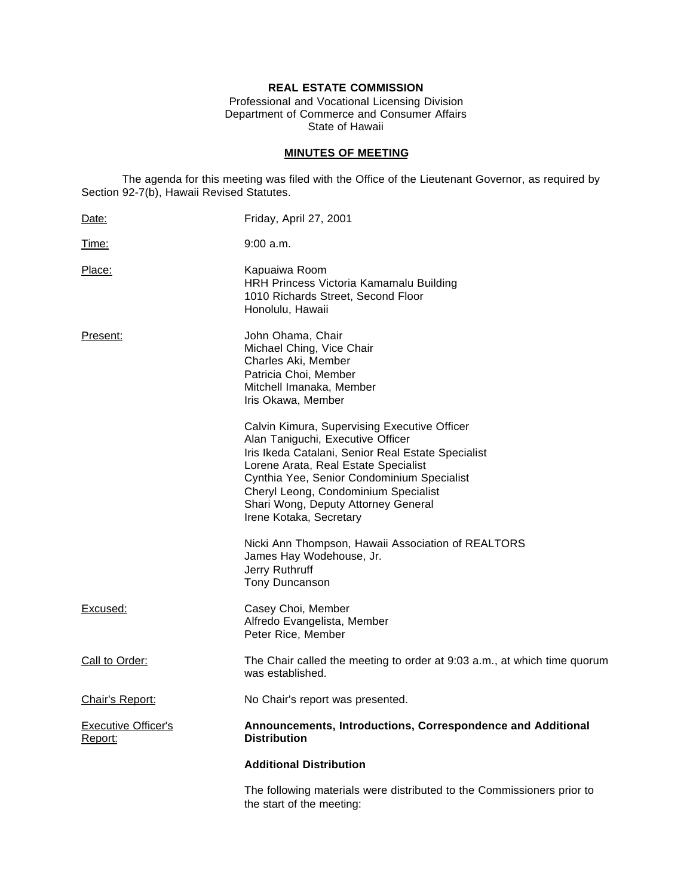# **REAL ESTATE COMMISSION**

Professional and Vocational Licensing Division Department of Commerce and Consumer Affairs State of Hawaii

# **MINUTES OF MEETING**

The agenda for this meeting was filed with the Office of the Lieutenant Governor, as required by Section 92-7(b), Hawaii Revised Statutes.

| Date:                                 | Friday, April 27, 2001                                                                                                                                                                                                                                                                                                                  |
|---------------------------------------|-----------------------------------------------------------------------------------------------------------------------------------------------------------------------------------------------------------------------------------------------------------------------------------------------------------------------------------------|
| <u>Time:</u>                          | $9:00$ a.m.                                                                                                                                                                                                                                                                                                                             |
| Place:                                | Kapuaiwa Room<br>HRH Princess Victoria Kamamalu Building<br>1010 Richards Street, Second Floor<br>Honolulu, Hawaii                                                                                                                                                                                                                      |
| Present:                              | John Ohama, Chair<br>Michael Ching, Vice Chair<br>Charles Aki, Member<br>Patricia Choi, Member<br>Mitchell Imanaka, Member<br>Iris Okawa, Member                                                                                                                                                                                        |
|                                       | Calvin Kimura, Supervising Executive Officer<br>Alan Taniguchi, Executive Officer<br>Iris Ikeda Catalani, Senior Real Estate Specialist<br>Lorene Arata, Real Estate Specialist<br>Cynthia Yee, Senior Condominium Specialist<br>Cheryl Leong, Condominium Specialist<br>Shari Wong, Deputy Attorney General<br>Irene Kotaka, Secretary |
|                                       | Nicki Ann Thompson, Hawaii Association of REALTORS<br>James Hay Wodehouse, Jr.<br>Jerry Ruthruff<br>Tony Duncanson                                                                                                                                                                                                                      |
| Excused:                              | Casey Choi, Member<br>Alfredo Evangelista, Member<br>Peter Rice, Member                                                                                                                                                                                                                                                                 |
| Call to Order:                        | The Chair called the meeting to order at 9:03 a.m., at which time quorum<br>was established.                                                                                                                                                                                                                                            |
| Chair's Report:                       | No Chair's report was presented.                                                                                                                                                                                                                                                                                                        |
| <b>Executive Officer's</b><br>Report: | Announcements, Introductions, Correspondence and Additional<br><b>Distribution</b>                                                                                                                                                                                                                                                      |
|                                       | <b>Additional Distribution</b>                                                                                                                                                                                                                                                                                                          |
|                                       | The following materials were distributed to the Commissioners prior to<br>the start of the meeting:                                                                                                                                                                                                                                     |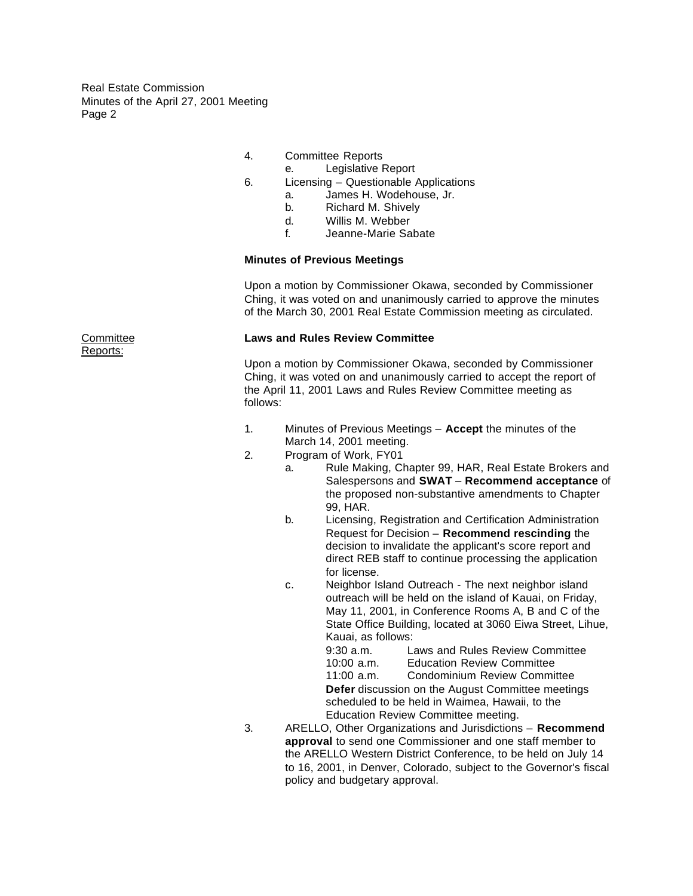- 4. Committee Reports
	- e. Legislative Report
- 6. Licensing Questionable Applications
	- a. James H. Wodehouse, Jr.
	- b. Richard M. Shively
	- d. Willis M. Webber
	- f. Jeanne-Marie Sabate

## **Minutes of Previous Meetings**

Upon a motion by Commissioner Okawa, seconded by Commissioner Ching, it was voted on and unanimously carried to approve the minutes of the March 30, 2001 Real Estate Commission meeting as circulated.

## Committee **Laws and Rules Review Committee**

Upon a motion by Commissioner Okawa, seconded by Commissioner Ching, it was voted on and unanimously carried to accept the report of the April 11, 2001 Laws and Rules Review Committee meeting as follows:

- 1. Minutes of Previous Meetings **Accept** the minutes of the March 14, 2001 meeting.
- 2. Program of Work, FY01
	- a. Rule Making, Chapter 99, HAR, Real Estate Brokers and Salespersons and **SWAT** – **Recommend acceptance** of the proposed non-substantive amendments to Chapter 99, HAR.
	- b. Licensing, Registration and Certification Administration Request for Decision – **Recommend rescinding** the decision to invalidate the applicant's score report and direct REB staff to continue processing the application for license.
	- c. Neighbor Island Outreach The next neighbor island outreach will be held on the island of Kauai, on Friday, May 11, 2001, in Conference Rooms A, B and C of the State Office Building, located at 3060 Eiwa Street, Lihue, Kauai, as follows: 9:30 a.m. Laws and Rules Review Committee

10:00 a.m. Education Review Committee 11:00 a.m. Condominium Review Committee **Defer** discussion on the August Committee meetings scheduled to be held in Waimea, Hawaii, to the Education Review Committee meeting.

3. ARELLO, Other Organizations and Jurisdictions – **Recommend approval** to send one Commissioner and one staff member to the ARELLO Western District Conference, to be held on July 14 to 16, 2001, in Denver, Colorado, subject to the Governor's fiscal policy and budgetary approval.

Reports: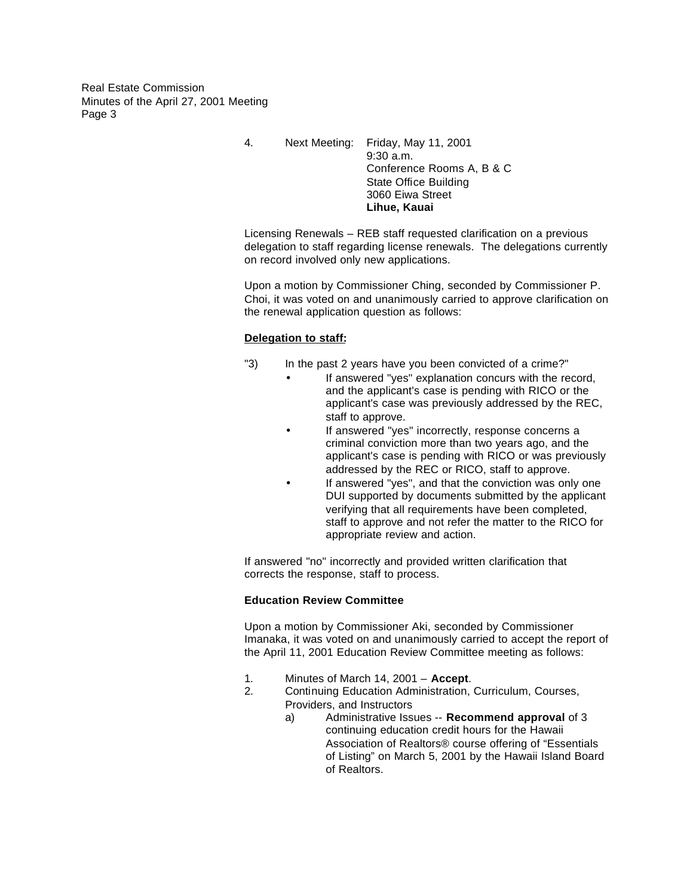> 4. Next Meeting: Friday, May 11, 2001 9:30 a.m. Conference Rooms A, B & C State Office Building 3060 Eiwa Street **Lihue, Kauai**

Licensing Renewals – REB staff requested clarification on a previous delegation to staff regarding license renewals. The delegations currently on record involved only new applications.

Upon a motion by Commissioner Ching, seconded by Commissioner P. Choi, it was voted on and unanimously carried to approve clarification on the renewal application question as follows:

# **Delegation to staff:**

- "3) In the past 2 years have you been convicted of a crime?"
	- If answered "yes" explanation concurs with the record, and the applicant's case is pending with RICO or the applicant's case was previously addressed by the REC, staff to approve.
	- If answered "yes" incorrectly, response concerns a criminal conviction more than two years ago, and the applicant's case is pending with RICO or was previously addressed by the REC or RICO, staff to approve.
	- If answered "yes", and that the conviction was only one DUI supported by documents submitted by the applicant verifying that all requirements have been completed, staff to approve and not refer the matter to the RICO for appropriate review and action.

If answered "no" incorrectly and provided written clarification that corrects the response, staff to process.

# **Education Review Committee**

Upon a motion by Commissioner Aki, seconded by Commissioner Imanaka, it was voted on and unanimously carried to accept the report of the April 11, 2001 Education Review Committee meeting as follows:

- 1. Minutes of March 14, 2001 **Accept**.
- 2. Continuing Education Administration, Curriculum, Courses, Providers, and Instructors
	- a) Administrative Issues -- **Recommend approval** of 3 continuing education credit hours for the Hawaii Association of Realtors® course offering of "Essentials of Listing" on March 5, 2001 by the Hawaii Island Board of Realtors.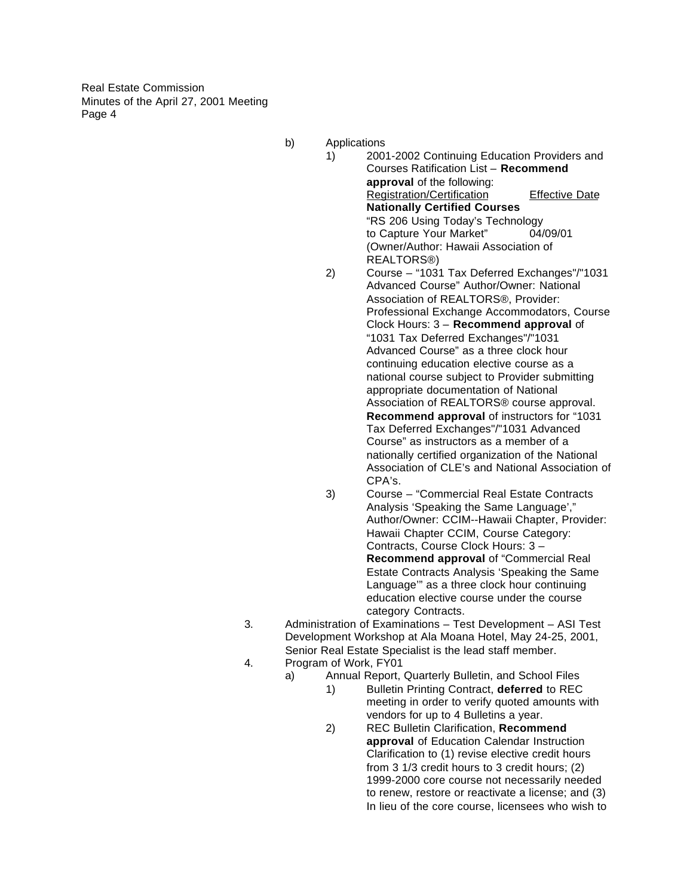- b) Applications
	- 1) 2001-2002 Continuing Education Providers and Courses Ratification List – **Recommend approval** of the following: Registration/Certification Effective Date **Nationally Certified Courses** "RS 206 Using Today's Technology to Capture Your Market" 04/09/01 (Owner/Author: Hawaii Association of REALTORS®) 2) Course – "1031 Tax Deferred Exchanges"/"1031
	- Advanced Course" Author/Owner: National Association of REALTORS®, Provider: Professional Exchange Accommodators, Course Clock Hours: 3 – **Recommend approval** of "1031 Tax Deferred Exchanges"/"1031 Advanced Course" as a three clock hour continuing education elective course as a national course subject to Provider submitting appropriate documentation of National Association of REALTORS® course approval. **Recommend approval** of instructors for "1031 Tax Deferred Exchanges"/"1031 Advanced Course" as instructors as a member of a nationally certified organization of the National Association of CLE's and National Association of CPA's.
- 3) Course "Commercial Real Estate Contracts Analysis 'Speaking the Same Language'," Author/Owner: CCIM--Hawaii Chapter, Provider: Hawaii Chapter CCIM, Course Category: Contracts, Course Clock Hours: 3 – **Recommend approval** of "Commercial Real Estate Contracts Analysis 'Speaking the Same Language'" as a three clock hour continuing education elective course under the course category Contracts.
- 3. Administration of Examinations Test Development ASI Test Development Workshop at Ala Moana Hotel, May 24-25, 2001, Senior Real Estate Specialist is the lead staff member.
- 4. Program of Work, FY01
	- a) Annual Report, Quarterly Bulletin, and School Files
		- 1) Bulletin Printing Contract, **deferred** to REC meeting in order to verify quoted amounts with vendors for up to 4 Bulletins a year.
		- 2) REC Bulletin Clarification, **Recommend approval** of Education Calendar Instruction Clarification to (1) revise elective credit hours from 3 1/3 credit hours to 3 credit hours; (2) 1999-2000 core course not necessarily needed to renew, restore or reactivate a license; and (3) In lieu of the core course, licensees who wish to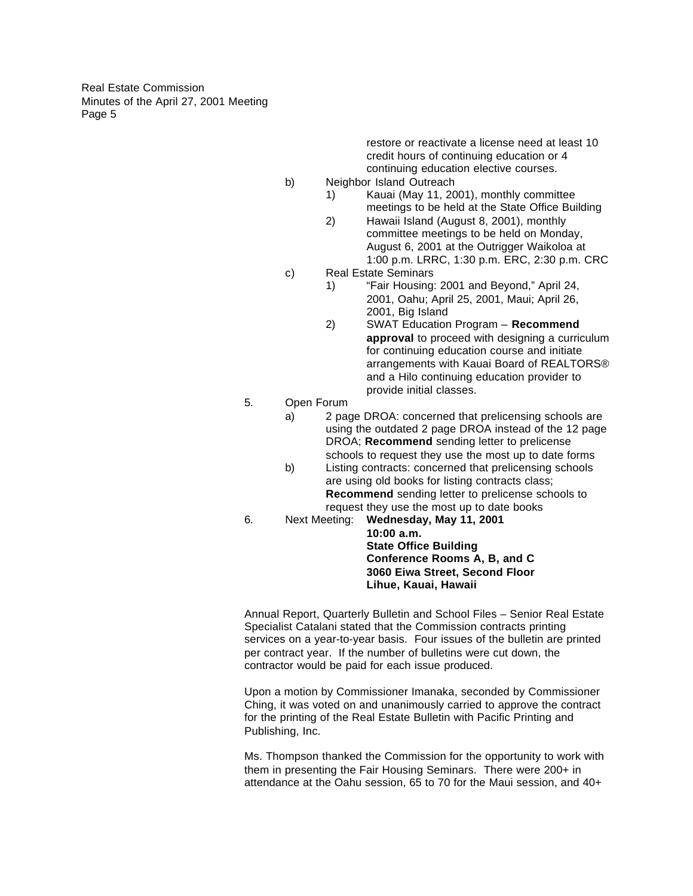> restore or reactivate a license need at least 10 credit hours of continuing education or 4 continuing education elective courses.

- b) Neighbor Island Outreach
	- 1) Kauai (May 11, 2001), monthly committee meetings to be held at the State Office Building
	- 2) Hawaii Island (August 8, 2001), monthly committee meetings to be held on Monday, August 6, 2001 at the Outrigger Waikoloa at 1:00 p.m. LRRC, 1:30 p.m. ERC, 2:30 p.m. CRC
- c) Real Estate Seminars
	- 1) "Fair Housing: 2001 and Beyond," April 24, 2001, Oahu; April 25, 2001, Maui; April 26, 2001, Big Island
	- 2) SWAT Education Program **Recommend approval** to proceed with designing a curriculum for continuing education course and initiate arrangements with Kauai Board of REALTORS® and a Hilo continuing education provider to provide initial classes.

5. Open Forum

- a) 2 page DROA: concerned that prelicensing schools are using the outdated 2 page DROA instead of the 12 page DROA; **Recommend** sending letter to prelicense schools to request they use the most up to date forms
- b) Listing contracts: concerned that prelicensing schools are using old books for listing contracts class; **Recommend** sending letter to prelicense schools to request they use the most up to date books
- 6. Next Meeting: **Wednesday, May 11, 2001**

**10:00 a.m. State Office Building Conference Rooms A, B, and C 3060 Eiwa Street, Second Floor Lihue, Kauai, Hawaii**

Annual Report, Quarterly Bulletin and School Files – Senior Real Estate Specialist Catalani stated that the Commission contracts printing services on a year-to-year basis. Four issues of the bulletin are printed per contract year. If the number of bulletins were cut down, the contractor would be paid for each issue produced.

Upon a motion by Commissioner Imanaka, seconded by Commissioner Ching, it was voted on and unanimously carried to approve the contract for the printing of the Real Estate Bulletin with Pacific Printing and Publishing, Inc.

Ms. Thompson thanked the Commission for the opportunity to work with them in presenting the Fair Housing Seminars. There were 200+ in attendance at the Oahu session, 65 to 70 for the Maui session, and 40+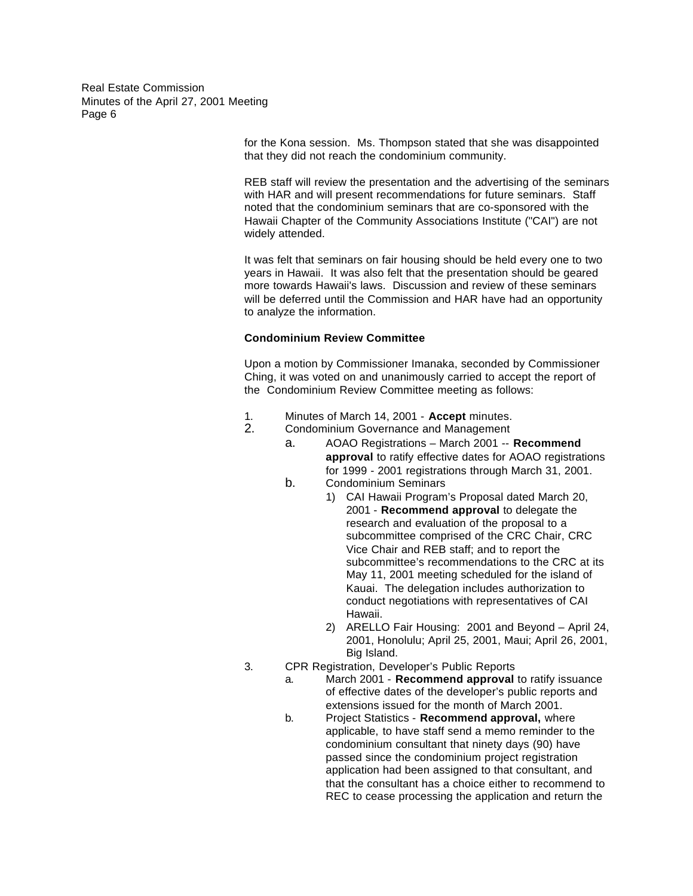> for the Kona session. Ms. Thompson stated that she was disappointed that they did not reach the condominium community.

REB staff will review the presentation and the advertising of the seminars with HAR and will present recommendations for future seminars. Staff noted that the condominium seminars that are co-sponsored with the Hawaii Chapter of the Community Associations Institute ("CAI") are not widely attended.

It was felt that seminars on fair housing should be held every one to two years in Hawaii. It was also felt that the presentation should be geared more towards Hawaii's laws. Discussion and review of these seminars will be deferred until the Commission and HAR have had an opportunity to analyze the information.

### **Condominium Review Committee**

Upon a motion by Commissioner Imanaka, seconded by Commissioner Ching, it was voted on and unanimously carried to accept the report of the Condominium Review Committee meeting as follows:

- 1. Minutes of March 14, 2001 **Accept** minutes.
	- 2. Condominium Governance and Management
		- a. AOAO Registrations March 2001 -- **Recommend approval** to ratify effective dates for AOAO registrations for 1999 - 2001 registrations through March 31, 2001.
		- b. Condominium Seminars
			- 1) CAI Hawaii Program's Proposal dated March 20, 2001 - **Recommend approval** to delegate the research and evaluation of the proposal to a subcommittee comprised of the CRC Chair, CRC Vice Chair and REB staff; and to report the subcommittee's recommendations to the CRC at its May 11, 2001 meeting scheduled for the island of Kauai. The delegation includes authorization to conduct negotiations with representatives of CAI Hawaii.
			- 2) ARELLO Fair Housing: 2001 and Beyond April 24, 2001, Honolulu; April 25, 2001, Maui; April 26, 2001, Big Island.
- 3. CPR Registration, Developer's Public Reports
	- a. March 2001 **Recommend approval** to ratify issuance of effective dates of the developer's public reports and extensions issued for the month of March 2001.
	- b. Project Statistics **Recommend approval,** where applicable, to have staff send a memo reminder to the condominium consultant that ninety days (90) have passed since the condominium project registration application had been assigned to that consultant, and that the consultant has a choice either to recommend to REC to cease processing the application and return the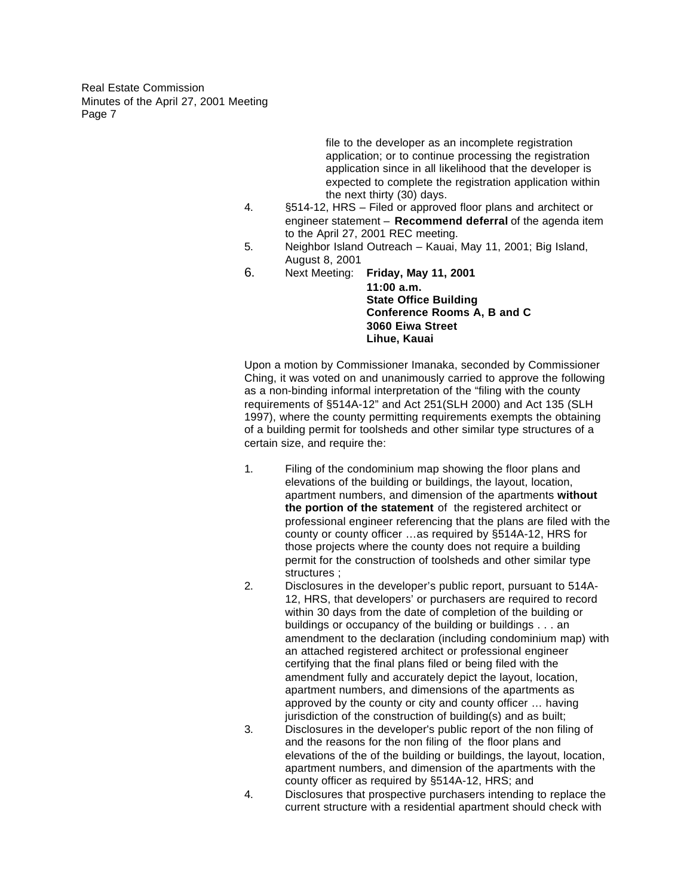> file to the developer as an incomplete registration application; or to continue processing the registration application since in all likelihood that the developer is expected to complete the registration application within the next thirty (30) days.

- 4. §514-12, HRS Filed or approved floor plans and architect or engineer statement – **Recommend deferral** of the agenda item to the April 27, 2001 REC meeting.
- 5. Neighbor Island Outreach Kauai, May 11, 2001; Big Island, August 8, 2001
- 6. Next Meeting: **Friday, May 11, 2001**
	- **11:00 a.m. State Office Building Conference Rooms A, B and C 3060 Eiwa Street Lihue, Kauai**

Upon a motion by Commissioner Imanaka, seconded by Commissioner Ching, it was voted on and unanimously carried to approve the following as a non-binding informal interpretation of the "filing with the county requirements of §514A-12" and Act 251(SLH 2000) and Act 135 (SLH 1997), where the county permitting requirements exempts the obtaining of a building permit for toolsheds and other similar type structures of a certain size, and require the:

- 1. Filing of the condominium map showing the floor plans and elevations of the building or buildings, the layout, location, apartment numbers, and dimension of the apartments **without the portion of the statement** of the registered architect or professional engineer referencing that the plans are filed with the county or county officer …as required by §514A-12, HRS for those projects where the county does not require a building permit for the construction of toolsheds and other similar type structures ;
- 2. Disclosures in the developer's public report, pursuant to 514A-12, HRS, that developers' or purchasers are required to record within 30 days from the date of completion of the building or buildings or occupancy of the building or buildings . . . an amendment to the declaration (including condominium map) with an attached registered architect or professional engineer certifying that the final plans filed or being filed with the amendment fully and accurately depict the layout, location, apartment numbers, and dimensions of the apartments as approved by the county or city and county officer … having jurisdiction of the construction of building(s) and as built;
- 3. Disclosures in the developer's public report of the non filing of and the reasons for the non filing of the floor plans and elevations of the of the building or buildings, the layout, location, apartment numbers, and dimension of the apartments with the county officer as required by §514A-12, HRS; and
- 4. Disclosures that prospective purchasers intending to replace the current structure with a residential apartment should check with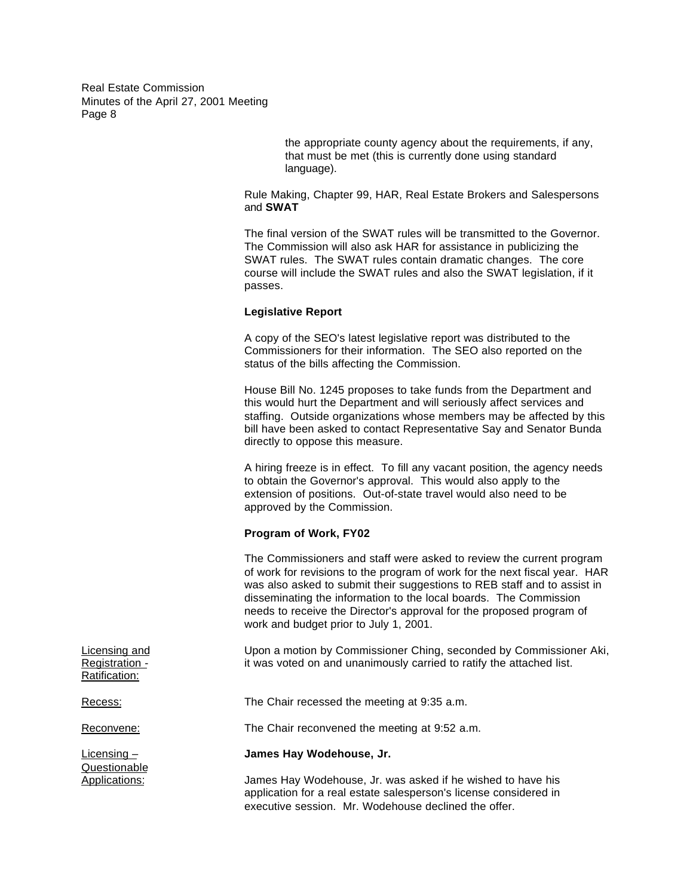> the appropriate county agency about the requirements, if any, that must be met (this is currently done using standard language).

Rule Making, Chapter 99, HAR, Real Estate Brokers and Salespersons and **SWAT**

The final version of the SWAT rules will be transmitted to the Governor. The Commission will also ask HAR for assistance in publicizing the SWAT rules. The SWAT rules contain dramatic changes. The core course will include the SWAT rules and also the SWAT legislation, if it passes.

## **Legislative Report**

A copy of the SEO's latest legislative report was distributed to the Commissioners for their information. The SEO also reported on the status of the bills affecting the Commission.

House Bill No. 1245 proposes to take funds from the Department and this would hurt the Department and will seriously affect services and staffing. Outside organizations whose members may be affected by this bill have been asked to contact Representative Say and Senator Bunda directly to oppose this measure.

A hiring freeze is in effect. To fill any vacant position, the agency needs to obtain the Governor's approval. This would also apply to the extension of positions. Out-of-state travel would also need to be approved by the Commission.

### **Program of Work, FY02**

The Commissioners and staff were asked to review the current program of work for revisions to the program of work for the next fiscal year. HAR was also asked to submit their suggestions to REB staff and to assist in disseminating the information to the local boards. The Commission needs to receive the Director's approval for the proposed program of work and budget prior to July 1, 2001.

Licensing and Upon a motion by Commissioner Ching, seconded by Commissioner Aki, Registration - it was voted on and unanimously carried to ratify the attached list.

Recess: The Chair recessed the meeting at 9:35 a.m.

Reconvene: The Chair reconvened the meeting at 9:52 a.m.

# Licensing – **James Hay Wodehouse, Jr.**

Applications: James Hay Wodehouse, Jr. was asked if he wished to have his application for a real estate salesperson's license considered in executive session. Mr. Wodehouse declined the offer.

Ratification:

Questionable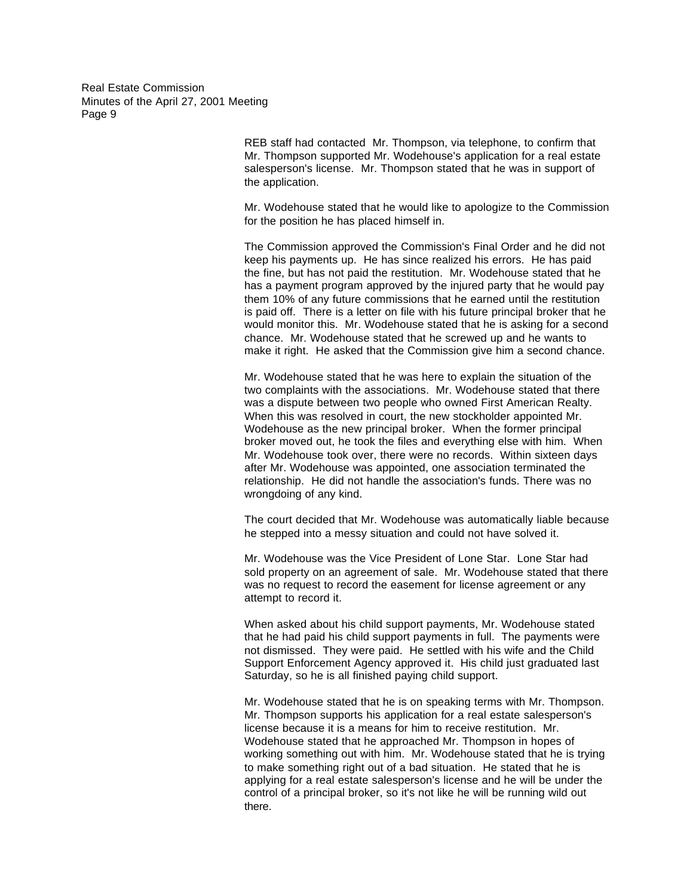> REB staff had contacted Mr. Thompson, via telephone, to confirm that Mr. Thompson supported Mr. Wodehouse's application for a real estate salesperson's license. Mr. Thompson stated that he was in support of the application.

Mr. Wodehouse stated that he would like to apologize to the Commission for the position he has placed himself in.

The Commission approved the Commission's Final Order and he did not keep his payments up. He has since realized his errors. He has paid the fine, but has not paid the restitution. Mr. Wodehouse stated that he has a payment program approved by the injured party that he would pay them 10% of any future commissions that he earned until the restitution is paid off. There is a letter on file with his future principal broker that he would monitor this. Mr. Wodehouse stated that he is asking for a second chance. Mr. Wodehouse stated that he screwed up and he wants to make it right. He asked that the Commission give him a second chance.

Mr. Wodehouse stated that he was here to explain the situation of the two complaints with the associations. Mr. Wodehouse stated that there was a dispute between two people who owned First American Realty. When this was resolved in court, the new stockholder appointed Mr. Wodehouse as the new principal broker. When the former principal broker moved out, he took the files and everything else with him. When Mr. Wodehouse took over, there were no records. Within sixteen days after Mr. Wodehouse was appointed, one association terminated the relationship. He did not handle the association's funds. There was no wrongdoing of any kind.

The court decided that Mr. Wodehouse was automatically liable because he stepped into a messy situation and could not have solved it.

Mr. Wodehouse was the Vice President of Lone Star. Lone Star had sold property on an agreement of sale. Mr. Wodehouse stated that there was no request to record the easement for license agreement or any attempt to record it.

When asked about his child support payments, Mr. Wodehouse stated that he had paid his child support payments in full. The payments were not dismissed. They were paid. He settled with his wife and the Child Support Enforcement Agency approved it. His child just graduated last Saturday, so he is all finished paying child support.

Mr. Wodehouse stated that he is on speaking terms with Mr. Thompson. Mr. Thompson supports his application for a real estate salesperson's license because it is a means for him to receive restitution. Mr. Wodehouse stated that he approached Mr. Thompson in hopes of working something out with him. Mr. Wodehouse stated that he is trying to make something right out of a bad situation. He stated that he is applying for a real estate salesperson's license and he will be under the control of a principal broker, so it's not like he will be running wild out there.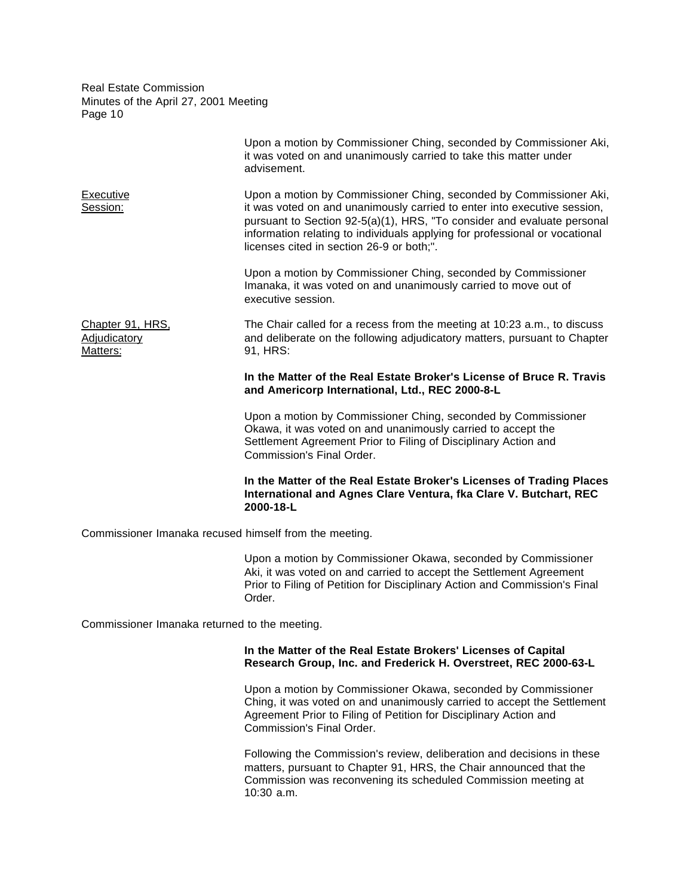|                                                        | Upon a motion by Commissioner Ching, seconded by Commissioner Aki,<br>it was voted on and unanimously carried to take this matter under<br>advisement.                                                                                                                                                                                                |
|--------------------------------------------------------|-------------------------------------------------------------------------------------------------------------------------------------------------------------------------------------------------------------------------------------------------------------------------------------------------------------------------------------------------------|
| Executive<br>Session:                                  | Upon a motion by Commissioner Ching, seconded by Commissioner Aki,<br>it was voted on and unanimously carried to enter into executive session,<br>pursuant to Section 92-5(a)(1), HRS, "To consider and evaluate personal<br>information relating to individuals applying for professional or vocational<br>licenses cited in section 26-9 or both;". |
|                                                        | Upon a motion by Commissioner Ching, seconded by Commissioner<br>Imanaka, it was voted on and unanimously carried to move out of<br>executive session.                                                                                                                                                                                                |
| Chapter 91, HRS,<br>Adjudicatory<br>Matters:           | The Chair called for a recess from the meeting at 10:23 a.m., to discuss<br>and deliberate on the following adjudicatory matters, pursuant to Chapter<br>91, HRS:                                                                                                                                                                                     |
|                                                        | In the Matter of the Real Estate Broker's License of Bruce R. Travis<br>and Americorp International, Ltd., REC 2000-8-L                                                                                                                                                                                                                               |
|                                                        | Upon a motion by Commissioner Ching, seconded by Commissioner<br>Okawa, it was voted on and unanimously carried to accept the<br>Settlement Agreement Prior to Filing of Disciplinary Action and<br><b>Commission's Final Order.</b>                                                                                                                  |
|                                                        | In the Matter of the Real Estate Broker's Licenses of Trading Places<br>International and Agnes Clare Ventura, fka Clare V. Butchart, REC<br>2000-18-L                                                                                                                                                                                                |
| Commissioner Imanaka recused himself from the meeting. |                                                                                                                                                                                                                                                                                                                                                       |

Upon a motion by Commissioner Okawa, seconded by Commissioner Aki, it was voted on and carried to accept the Settlement Agreement Prior to Filing of Petition for Disciplinary Action and Commission's Final Order.

Commissioner Imanaka returned to the meeting.

# **In the Matter of the Real Estate Brokers' Licenses of Capital Research Group, Inc. and Frederick H. Overstreet, REC 2000-63-L**

Upon a motion by Commissioner Okawa, seconded by Commissioner Ching, it was voted on and unanimously carried to accept the Settlement Agreement Prior to Filing of Petition for Disciplinary Action and Commission's Final Order.

Following the Commission's review, deliberation and decisions in these matters, pursuant to Chapter 91, HRS, the Chair announced that the Commission was reconvening its scheduled Commission meeting at 10:30 a.m.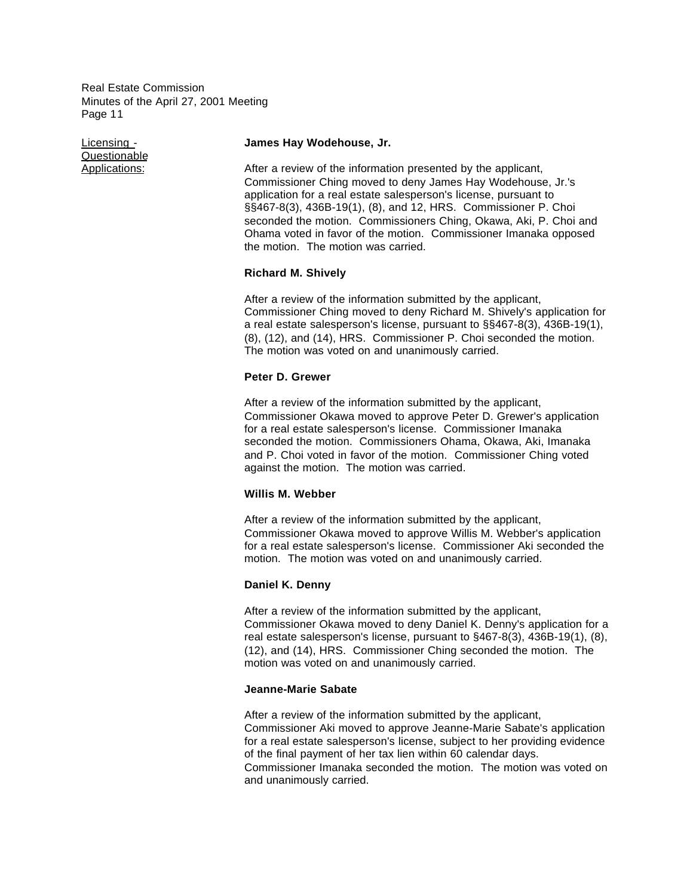Questionable

## Licensing - **James Hay Wodehouse, Jr.**

Applications: After a review of the information presented by the applicant, Commissioner Ching moved to deny James Hay Wodehouse, Jr.'s application for a real estate salesperson's license, pursuant to §§467-8(3), 436B-19(1), (8), and 12, HRS. Commissioner P. Choi seconded the motion. Commissioners Ching, Okawa, Aki, P. Choi and Ohama voted in favor of the motion. Commissioner Imanaka opposed the motion. The motion was carried.

## **Richard M. Shively**

After a review of the information submitted by the applicant, Commissioner Ching moved to deny Richard M. Shively's application for a real estate salesperson's license, pursuant to §§467-8(3), 436B-19(1), (8), (12), and (14), HRS. Commissioner P. Choi seconded the motion. The motion was voted on and unanimously carried.

### **Peter D. Grewer**

After a review of the information submitted by the applicant, Commissioner Okawa moved to approve Peter D. Grewer's application for a real estate salesperson's license. Commissioner Imanaka seconded the motion. Commissioners Ohama, Okawa, Aki, Imanaka and P. Choi voted in favor of the motion. Commissioner Ching voted against the motion. The motion was carried.

## **Willis M. Webber**

After a review of the information submitted by the applicant, Commissioner Okawa moved to approve Willis M. Webber's application for a real estate salesperson's license. Commissioner Aki seconded the motion. The motion was voted on and unanimously carried.

### **Daniel K. Denny**

After a review of the information submitted by the applicant, Commissioner Okawa moved to deny Daniel K. Denny's application for a real estate salesperson's license, pursuant to §467-8(3), 436B-19(1), (8), (12), and (14), HRS. Commissioner Ching seconded the motion. The motion was voted on and unanimously carried.

#### **Jeanne-Marie Sabate**

After a review of the information submitted by the applicant, Commissioner Aki moved to approve Jeanne-Marie Sabate's application for a real estate salesperson's license, subject to her providing evidence of the final payment of her tax lien within 60 calendar days. Commissioner Imanaka seconded the motion. The motion was voted on and unanimously carried.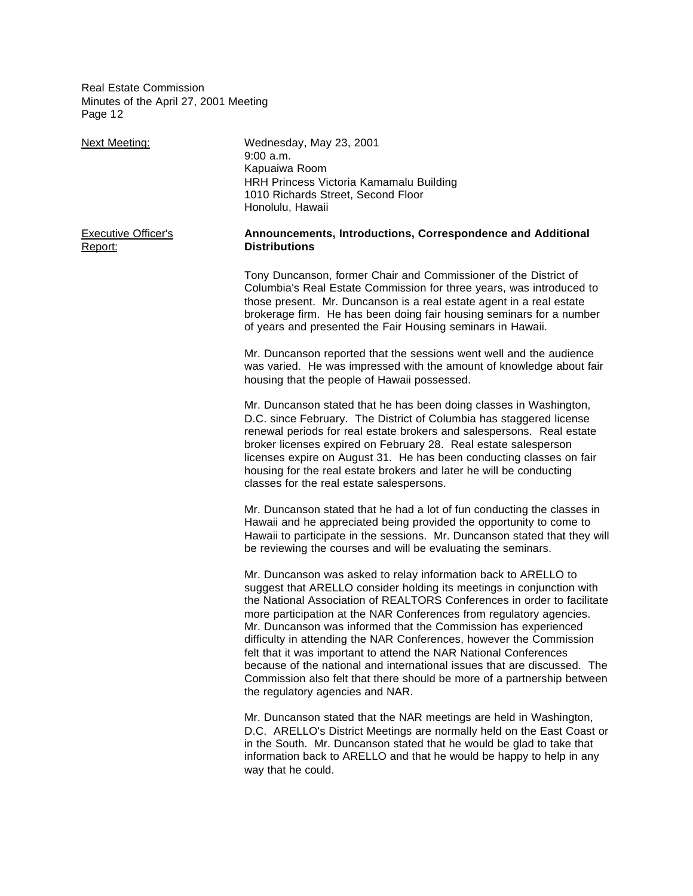| <b>Next Meeting:</b>                  | Wednesday, May 23, 2001<br>$9:00$ a.m.<br>Kapuaiwa Room<br>HRH Princess Victoria Kamamalu Building<br>1010 Richards Street, Second Floor<br>Honolulu, Hawaii                                                                                                                                                                                                                                                                                                                                                                                                                                                                                                                                       |
|---------------------------------------|----------------------------------------------------------------------------------------------------------------------------------------------------------------------------------------------------------------------------------------------------------------------------------------------------------------------------------------------------------------------------------------------------------------------------------------------------------------------------------------------------------------------------------------------------------------------------------------------------------------------------------------------------------------------------------------------------|
| <b>Executive Officer's</b><br>Report: | Announcements, Introductions, Correspondence and Additional<br><b>Distributions</b>                                                                                                                                                                                                                                                                                                                                                                                                                                                                                                                                                                                                                |
|                                       | Tony Duncanson, former Chair and Commissioner of the District of<br>Columbia's Real Estate Commission for three years, was introduced to<br>those present. Mr. Duncanson is a real estate agent in a real estate<br>brokerage firm. He has been doing fair housing seminars for a number<br>of years and presented the Fair Housing seminars in Hawaii.                                                                                                                                                                                                                                                                                                                                            |
|                                       | Mr. Duncanson reported that the sessions went well and the audience<br>was varied. He was impressed with the amount of knowledge about fair<br>housing that the people of Hawaii possessed.                                                                                                                                                                                                                                                                                                                                                                                                                                                                                                        |
|                                       | Mr. Duncanson stated that he has been doing classes in Washington,<br>D.C. since February. The District of Columbia has staggered license<br>renewal periods for real estate brokers and salespersons. Real estate<br>broker licenses expired on February 28. Real estate salesperson<br>licenses expire on August 31. He has been conducting classes on fair<br>housing for the real estate brokers and later he will be conducting<br>classes for the real estate salespersons.                                                                                                                                                                                                                  |
|                                       | Mr. Duncanson stated that he had a lot of fun conducting the classes in<br>Hawaii and he appreciated being provided the opportunity to come to<br>Hawaii to participate in the sessions. Mr. Duncanson stated that they will<br>be reviewing the courses and will be evaluating the seminars.                                                                                                                                                                                                                                                                                                                                                                                                      |
|                                       | Mr. Duncanson was asked to relay information back to ARELLO to<br>suggest that ARELLO consider holding its meetings in conjunction with<br>the National Association of REALTORS Conferences in order to facilitate<br>more participation at the NAR Conferences from regulatory agencies.<br>Mr. Duncanson was informed that the Commission has experienced<br>difficulty in attending the NAR Conferences, however the Commission<br>felt that it was important to attend the NAR National Conferences<br>because of the national and international issues that are discussed. The<br>Commission also felt that there should be more of a partnership between<br>the regulatory agencies and NAR. |
|                                       | Mr. Duncanson stated that the NAR meetings are held in Washington,<br>D.C. ARELLO's District Meetings are normally held on the East Coast or<br>in the South. Mr. Duncanson stated that he would be glad to take that<br>information back to ARELLO and that he would be happy to help in any<br>way that he could.                                                                                                                                                                                                                                                                                                                                                                                |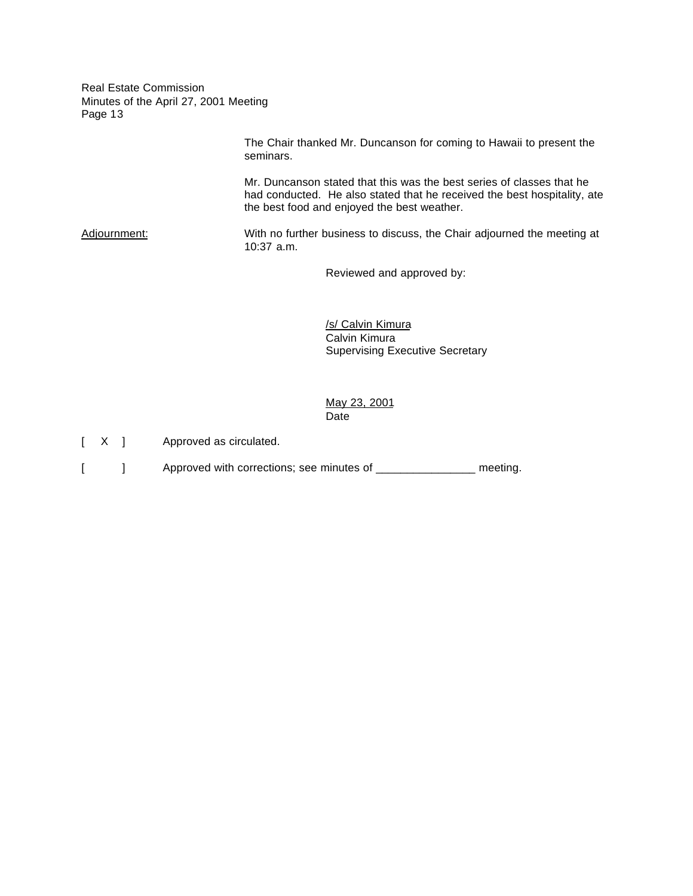> The Chair thanked Mr. Duncanson for coming to Hawaii to present the seminars.

Mr. Duncanson stated that this was the best series of classes that he had conducted. He also stated that he received the best hospitality, ate the best food and enjoyed the best weather.

Adjournment: With no further business to discuss, the Chair adjourned the meeting at 10:37 a.m.

Reviewed and approved by:

/s/ Calvin Kimura Calvin Kimura Supervising Executive Secretary

May 23, 2001 Date

- [ X ] Approved as circulated.
- [ ] Approved with corrections; see minutes of \_\_\_\_\_\_\_\_\_\_\_\_\_\_\_\_\_ meeting.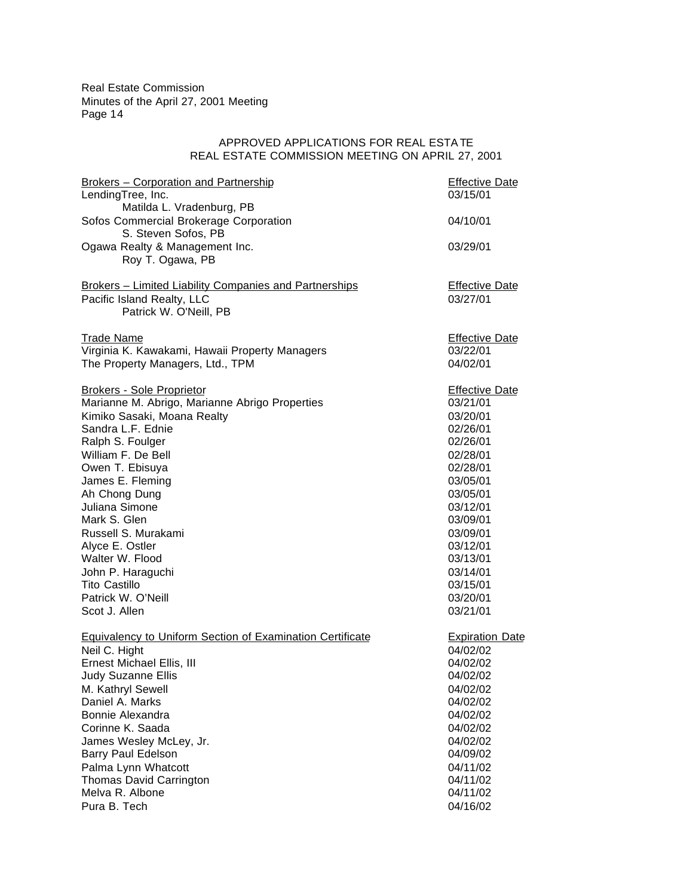# APPROVED APPLICATIONS FOR REAL ESTATE REAL ESTATE COMMISSION MEETING ON APRIL 27, 2001

| <b>Brokers - Corporation and Partnership</b><br>LendingTree, Inc.                                              | <b>Effective Date</b><br>03/15/01 |
|----------------------------------------------------------------------------------------------------------------|-----------------------------------|
| Matilda L. Vradenburg, PB                                                                                      |                                   |
| Sofos Commercial Brokerage Corporation<br>S. Steven Sofos, PB                                                  | 04/10/01                          |
| Ogawa Realty & Management Inc.<br>Roy T. Ogawa, PB                                                             | 03/29/01                          |
| Brokers - Limited Liability Companies and Partnerships<br>Pacific Island Realty, LLC<br>Patrick W. O'Neill, PB | <b>Effective Date</b><br>03/27/01 |
| <b>Trade Name</b>                                                                                              | <b>Effective Date</b>             |
| Virginia K. Kawakami, Hawaii Property Managers                                                                 | 03/22/01                          |
| The Property Managers, Ltd., TPM                                                                               | 04/02/01                          |
|                                                                                                                |                                   |
| <b>Brokers - Sole Proprietor</b>                                                                               | <b>Effective Date</b>             |
| Marianne M. Abrigo, Marianne Abrigo Properties                                                                 | 03/21/01                          |
| Kimiko Sasaki, Moana Realty                                                                                    | 03/20/01                          |
| Sandra L.F. Ednie                                                                                              | 02/26/01<br>02/26/01              |
| Ralph S. Foulger<br>William F. De Bell                                                                         | 02/28/01                          |
| Owen T. Ebisuya                                                                                                | 02/28/01                          |
| James E. Fleming                                                                                               | 03/05/01                          |
| Ah Chong Dung                                                                                                  | 03/05/01                          |
| Juliana Simone                                                                                                 | 03/12/01                          |
| Mark S. Glen                                                                                                   | 03/09/01                          |
| Russell S. Murakami                                                                                            | 03/09/01                          |
| Alyce E. Ostler                                                                                                | 03/12/01                          |
| Walter W. Flood                                                                                                | 03/13/01                          |
| John P. Haraguchi                                                                                              | 03/14/01                          |
| <b>Tito Castillo</b>                                                                                           | 03/15/01                          |
| Patrick W. O'Neill                                                                                             | 03/20/01                          |
| Scot J. Allen                                                                                                  | 03/21/01                          |
|                                                                                                                |                                   |
| <b>Equivalency to Uniform Section of Examination Certificate</b>                                               | <b>Expiration Date</b>            |
| Neil C. Hight                                                                                                  | 04/02/02                          |
| Ernest Michael Ellis, III                                                                                      | 04/02/02                          |
| <b>Judy Suzanne Ellis</b>                                                                                      | 04/02/02                          |
| M. Kathryl Sewell<br>Daniel A. Marks                                                                           | 04/02/02                          |
| Bonnie Alexandra                                                                                               | 04/02/02<br>04/02/02              |
| Corinne K. Saada                                                                                               |                                   |
|                                                                                                                | 04/02/02<br>04/02/02              |
| James Wesley McLey, Jr.<br><b>Barry Paul Edelson</b>                                                           |                                   |
| Palma Lynn Whatcott                                                                                            | 04/09/02<br>04/11/02              |
| Thomas David Carrington                                                                                        | 04/11/02                          |
| Melva R. Albone                                                                                                | 04/11/02                          |
| Pura B. Tech                                                                                                   | 04/16/02                          |
|                                                                                                                |                                   |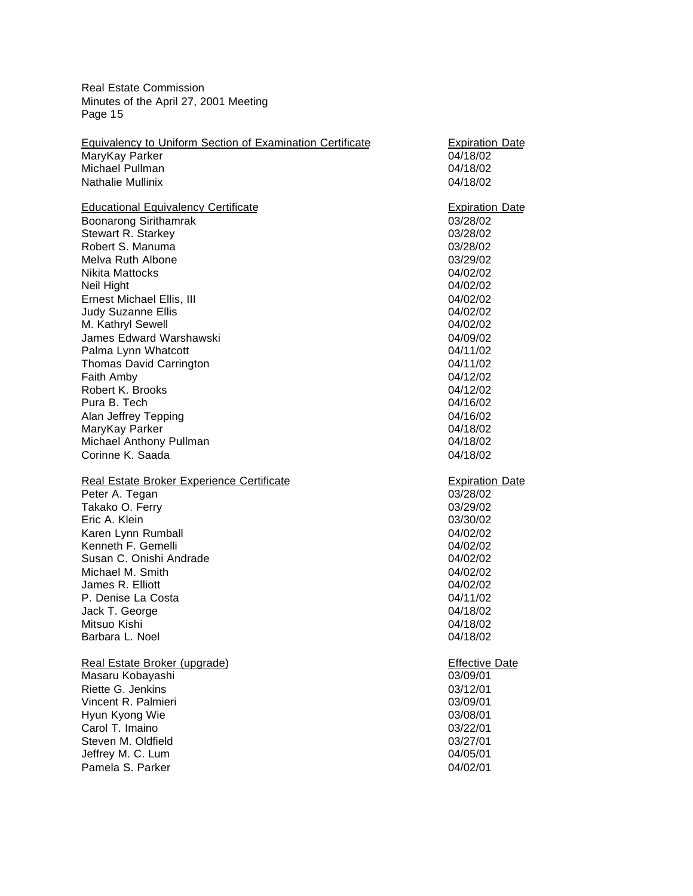| <b>Equivalency to Uniform Section of Examination Certificate</b> | <b>Expiration Date</b>            |
|------------------------------------------------------------------|-----------------------------------|
| MaryKay Parker                                                   | 04/18/02                          |
| Michael Pullman                                                  | 04/18/02                          |
| <b>Nathalie Mullinix</b>                                         | 04/18/02                          |
| <b>Educational Equivalency Certificate</b>                       | <b>Expiration Date</b>            |
| Boonarong Sirithamrak                                            | 03/28/02                          |
| Stewart R. Starkey                                               | 03/28/02                          |
| Robert S. Manuma                                                 | 03/28/02                          |
| Melva Ruth Albone                                                | 03/29/02                          |
| Nikita Mattocks                                                  | 04/02/02                          |
| Neil Hight                                                       | 04/02/02                          |
| Ernest Michael Ellis, III                                        | 04/02/02                          |
| Judy Suzanne Ellis                                               | 04/02/02                          |
| M. Kathryl Sewell                                                | 04/02/02                          |
| <b>James Edward Warshawski</b>                                   | 04/09/02                          |
| Palma Lynn Whatcott                                              | 04/11/02<br>04/11/02              |
| <b>Thomas David Carrington</b>                                   | 04/12/02                          |
| Faith Amby<br>Robert K. Brooks                                   | 04/12/02                          |
| Pura B. Tech                                                     | 04/16/02                          |
| Alan Jeffrey Tepping                                             | 04/16/02                          |
| MaryKay Parker                                                   | 04/18/02                          |
| Michael Anthony Pullman                                          | 04/18/02                          |
| Corinne K. Saada                                                 | 04/18/02                          |
|                                                                  |                                   |
|                                                                  |                                   |
| Real Estate Broker Experience Certificate                        | <b>Expiration Date</b>            |
|                                                                  | 03/28/02                          |
| Peter A. Tegan<br>Takako O. Ferry                                | 03/29/02                          |
| Eric A. Klein                                                    | 03/30/02                          |
| Karen Lynn Rumball                                               | 04/02/02                          |
| Kenneth F. Gemelli                                               | 04/02/02                          |
| Susan C. Onishi Andrade                                          | 04/02/02                          |
| Michael M. Smith                                                 | 04/02/02                          |
| James R. Elliott                                                 | 04/02/02                          |
| P. Denise La Costa                                               | 04/11/02                          |
| Jack T. George                                                   | 04/18/02                          |
| Mitsuo Kishi                                                     | 04/18/02                          |
| Barbara L. Noel                                                  | 04/18/02                          |
|                                                                  |                                   |
| Real Estate Broker (upgrade)                                     | <b>Effective Date</b><br>03/09/01 |
| Masaru Kobayashi<br>Riette G. Jenkins                            | 03/12/01                          |
| Vincent R. Palmieri                                              | 03/09/01                          |
| Hyun Kyong Wie                                                   | 03/08/01                          |
| Carol T. Imaino                                                  | 03/22/01                          |
| Steven M. Oldfield                                               | 03/27/01                          |
| Jeffrey M. C. Lum                                                | 04/05/01                          |
| Pamela S. Parker                                                 | 04/02/01                          |